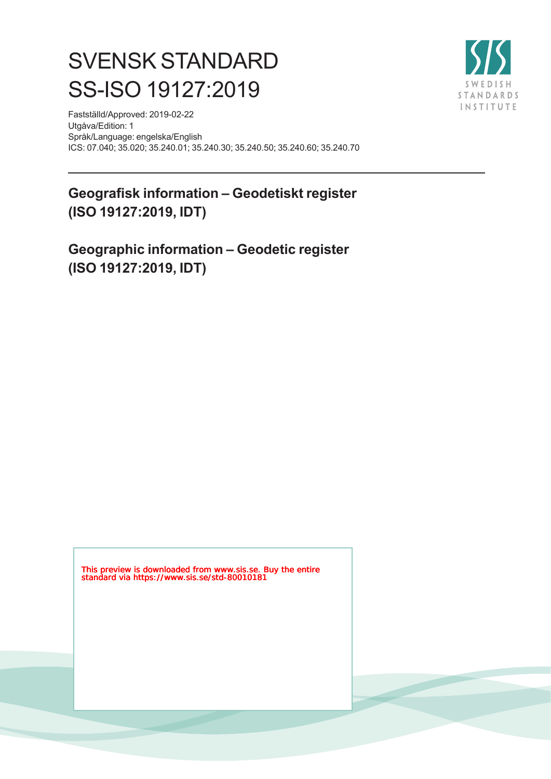# SVENSK STANDARD SS-ISO 19127:2019



Fastställd/Approved: 2019-02-22 Utgåva/Edition: 1 Språk/Language: engelska/English ICS: 07.040; 35.020; 35.240.01; 35.240.30; 35.240.50; 35.240.60; 35.240.70

**Geografisk information – Geodetiskt register (ISO 19127:2019, IDT)**

**Geographic information – Geodetic register (ISO 19127:2019, IDT)**

This preview is downloaded from www.sis.se. Buy the entire standard via https://www.sis.se/std-80010181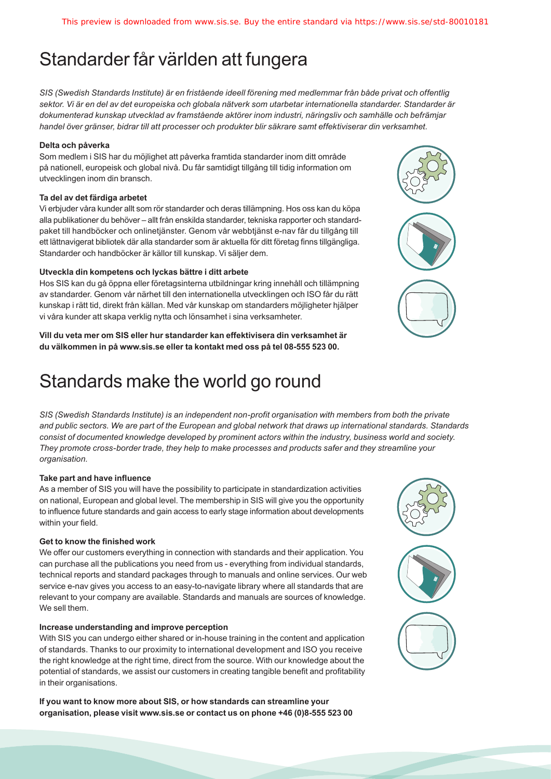## Standarder får världen att fungera

*SIS (Swedish Standards Institute) är en fristående ideell förening med medlemmar från både privat och offentlig sektor. Vi är en del av det europeiska och globala nätverk som utarbetar internationella standarder. Standarder är dokumenterad kunskap utvecklad av framstående aktörer inom industri, näringsliv och samhälle och befrämjar handel över gränser, bidrar till att processer och produkter blir säkrare samt effektiviserar din verksamhet.* 

#### **Delta och påverka**

Som medlem i SIS har du möjlighet att påverka framtida standarder inom ditt område på nationell, europeisk och global nivå. Du får samtidigt tillgång till tidig information om utvecklingen inom din bransch.

#### **Ta del av det färdiga arbetet**

Vi erbjuder våra kunder allt som rör standarder och deras tillämpning. Hos oss kan du köpa alla publikationer du behöver – allt från enskilda standarder, tekniska rapporter och standardpaket till handböcker och onlinetjänster. Genom vår webbtjänst e-nav får du tillgång till ett lättnavigerat bibliotek där alla standarder som är aktuella för ditt företag finns tillgängliga. Standarder och handböcker är källor till kunskap. Vi säljer dem.

#### **Utveckla din kompetens och lyckas bättre i ditt arbete**

Hos SIS kan du gå öppna eller företagsinterna utbildningar kring innehåll och tillämpning av standarder. Genom vår närhet till den internationella utvecklingen och ISO får du rätt kunskap i rätt tid, direkt från källan. Med vår kunskap om standarders möjligheter hjälper vi våra kunder att skapa verklig nytta och lönsamhet i sina verksamheter.

**Vill du veta mer om SIS eller hur standarder kan effektivisera din verksamhet är du välkommen in på www.sis.se eller ta kontakt med oss på tel 08-555 523 00.**

## Standards make the world go round

*SIS (Swedish Standards Institute) is an independent non-profit organisation with members from both the private and public sectors. We are part of the European and global network that draws up international standards. Standards consist of documented knowledge developed by prominent actors within the industry, business world and society. They promote cross-border trade, they help to make processes and products safer and they streamline your organisation.*

#### **Take part and have influence**

As a member of SIS you will have the possibility to participate in standardization activities on national, European and global level. The membership in SIS will give you the opportunity to influence future standards and gain access to early stage information about developments within your field.

#### **Get to know the finished work**

We offer our customers everything in connection with standards and their application. You can purchase all the publications you need from us - everything from individual standards, technical reports and standard packages through to manuals and online services. Our web service e-nav gives you access to an easy-to-navigate library where all standards that are relevant to your company are available. Standards and manuals are sources of knowledge. We sell them.

#### **Increase understanding and improve perception**

With SIS you can undergo either shared or in-house training in the content and application of standards. Thanks to our proximity to international development and ISO you receive the right knowledge at the right time, direct from the source. With our knowledge about the potential of standards, we assist our customers in creating tangible benefit and profitability in their organisations.

**If you want to know more about SIS, or how standards can streamline your organisation, please visit www.sis.se or contact us on phone +46 (0)8-555 523 00**



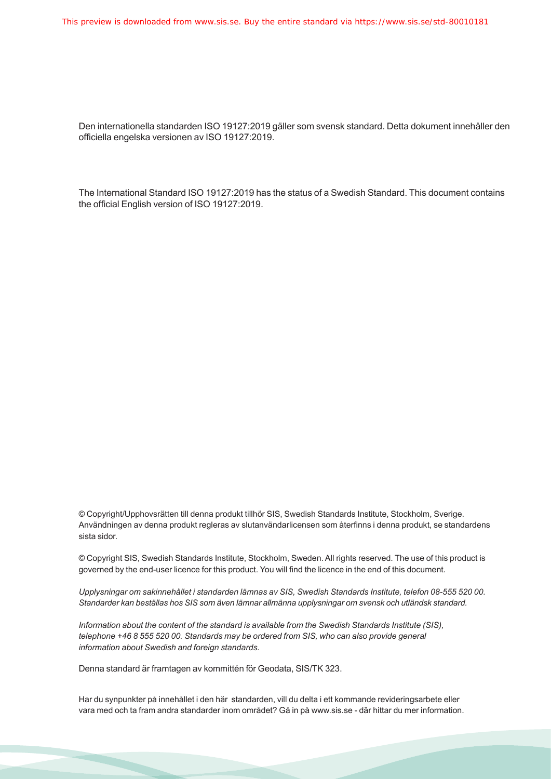Den internationella standarden ISO 19127:2019 gäller som svensk standard. Detta dokument innehåller den officiella engelska versionen av ISO 19127:2019.

The International Standard ISO 19127:2019 has the status of a Swedish Standard. This document contains the official English version of ISO 19127:2019.

© Copyright/Upphovsrätten till denna produkt tillhör SIS, Swedish Standards Institute, Stockholm, Sverige. Användningen av denna produkt regleras av slutanvändarlicensen som återfinns i denna produkt, se standardens sista sidor.

© Copyright SIS, Swedish Standards Institute, Stockholm, Sweden. All rights reserved. The use of this product is governed by the end-user licence for this product. You will find the licence in the end of this document.

*Upplysningar om sakinnehållet i standarden lämnas av SIS, Swedish Standards Institute, telefon 08-555 520 00. Standarder kan beställas hos SIS som även lämnar allmänna upplysningar om svensk och utländsk standard.*

*Information about the content of the standard is available from the Swedish Standards Institute (SIS), telephone +46 8 555 520 00. Standards may be ordered from SIS, who can also provide general information about Swedish and foreign standards.*

Denna standard är framtagen av kommittén för Geodata, SIS/TK 323.

Har du synpunkter på innehållet i den här standarden, vill du delta i ett kommande revideringsarbete eller vara med och ta fram andra standarder inom området? Gå in på www.sis.se - där hittar du mer information.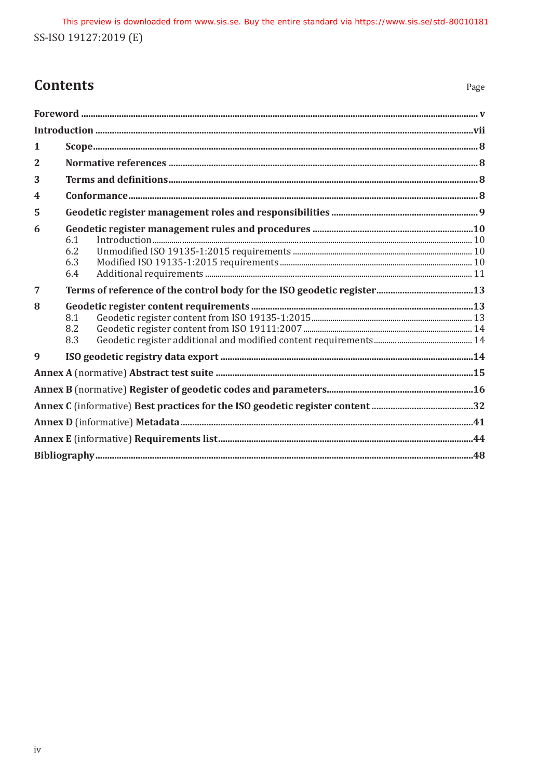## **Contents**

| 1                |                          |  |  |
|------------------|--------------------------|--|--|
| 2                |                          |  |  |
| 3                |                          |  |  |
| $\boldsymbol{4}$ |                          |  |  |
| 5                |                          |  |  |
| 6                | 6.1<br>6.2<br>6.3<br>6.4 |  |  |
| 7                |                          |  |  |
| 8                | 8.1<br>8.2<br>8.3        |  |  |
| $\boldsymbol{q}$ |                          |  |  |
|                  |                          |  |  |
|                  |                          |  |  |
|                  |                          |  |  |
|                  |                          |  |  |
|                  |                          |  |  |
|                  |                          |  |  |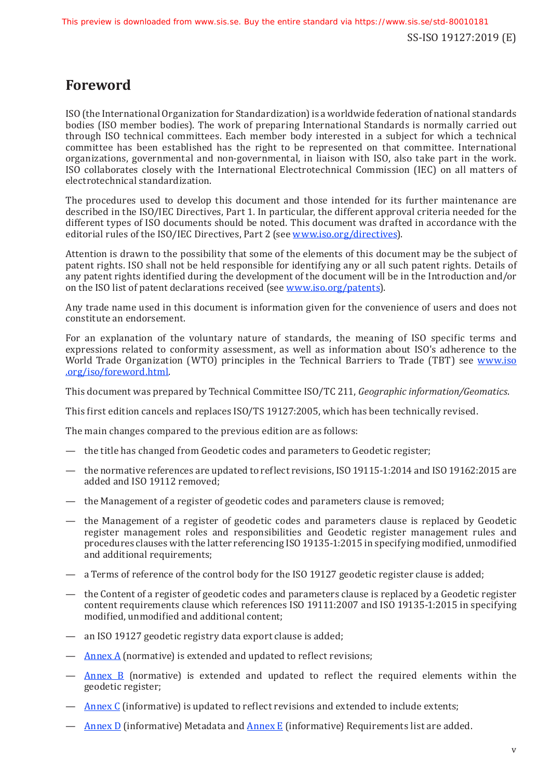## **Foreword**

ISO (the International Organization for Standardization)is a worldwide federation of national standards bodies (ISO member bodies). The work of preparing International Standards is normally carried out through ISO technical committees. Each member body interested in a subject for which a technical committee has been established has the right to be represented on that committee. International organizations, governmental and non-governmental, in liaison with ISO, also take part in the work. ISO collaborates closely with the International Electrotechnical Commission (IEC) on all matters of electrotechnical standardization.

The procedures used to develop this document and those intended for its further maintenance are described in the ISO/IEC Directives, Part 1. In particular, the different approval criteria needed for the different types of ISO documents should be noted. This document was drafted in accordance with the editorial rules of the ISO/IEC Directives, Part 2 (see [www.iso.org/directives](https://www.iso.org/directives-and-policies.html)).

Attention is drawn to the possibility that some of the elements of this document may be the subject of patent rights. ISO shall not be held responsible for identifying any or all such patent rights. Details of any patent rights identified during the development of the document will be in the Introduction and/or on the ISO list of patent declarations received (see [www.iso.org/patents](https://www.iso.org/iso-standards-and-patents.html)).

Any trade name used in this document is information given for the convenience of users and does not constitute an endorsement.

For an explanation of the voluntary nature of standards, the meaning of ISO specific terms and expressions related to conformity assessment, as well as information about ISO's adherence to the World Trade Organization (WTO) principles in the Technical Barriers to Trade (TBT) see [www.iso](https://www.iso.org/foreword-supplementary-information.html) [.org/iso/foreword.html](https://www.iso.org/foreword-supplementary-information.html).

This document was prepared by Technical Committee ISO/TC 211, *Geographic information/Geomatics*.

This first edition cancels and replaces ISO/TS 19127:2005, which has been technically revised.

The main changes compared to the previous edition are as follows:

- the title has changed from Geodetic codes and parameters to Geodetic register;
- the normative references are updated to reflect revisions, ISO 19115-1:2014 and ISO 19162:2015 are added and ISO 19112 removed;
- the Management of a register of geodetic codes and parameters clause is removed;
- the Management of a register of geodetic codes and parameters clause is replaced by Geodetic register management roles and responsibilities and Geodetic register management rules and procedures clauses with the latter referencing ISO 19135-1:2015 in specifying modified, unmodified and additional requirements;
- $-$  a Terms of reference of the control body for the ISO 19127 geodetic register clause is added;
- the Content of a register of geodetic codes and parameters clause is replaced by a Geodetic register content requirements clause which references ISO 19111:2007 and ISO 19135-1:2015 in specifying modified, unmodified and additional content;
- an ISO 19127 geodetic registry data export clause is added;
- Annex A (normative) is extended and updated to reflect revisions;
- Annex B (normative) is extended and updated to reflect the required elements within the geodetic register;
- Annex C (informative) is updated to reflect revisions and extended to include extents;
- $-$  Annex D (informative) Metadata and Annex E (informative) Requirements list are added.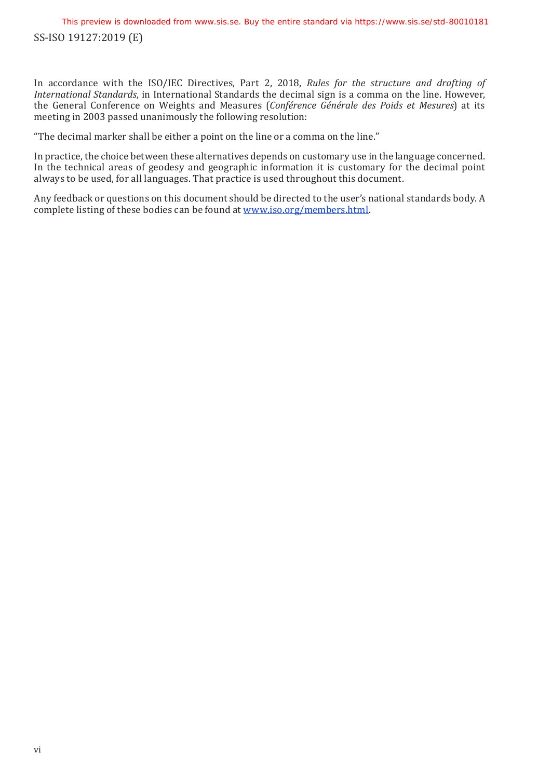In accordance with the ISO/IEC Directives, Part 2, 2018, *Rules for the structure and drafting of International Standards*, in International Standards the decimal sign is a comma on the line. However, the General Conference on Weights and Measures (*Conférence Générale des Poids et Mesures*) at its meeting in 2003 passed unanimously the following resolution:

"The decimal marker shall be either a point on the line or a comma on the line."

In practice, the choice between these alternatives depends on customary use in the language concerned. In the technical areas of geodesy and geographic information it is customary for the decimal point always to be used, for all languages. That practice is used throughout this document.

Any feedback or questions on this document should be directed to the user's national standards body. A complete listing of these bodies can be found at [www.iso.org/members.html](https://www.iso.org/members.html).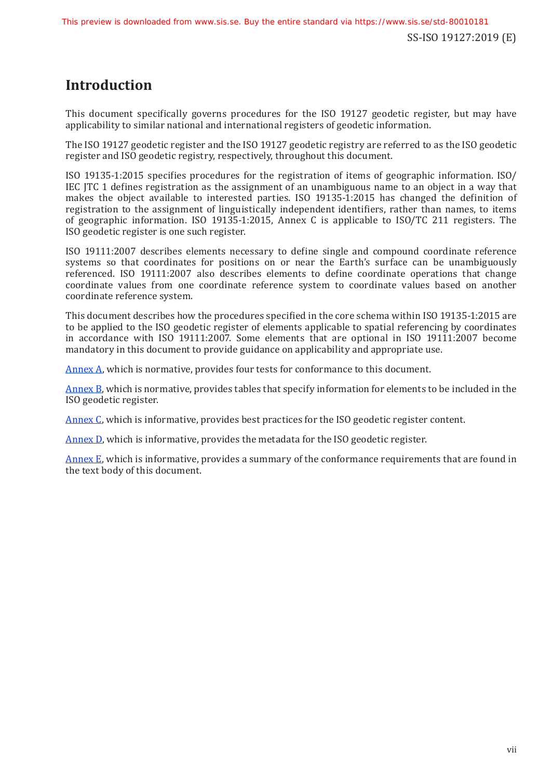## **Introduction**

This document specifically governs procedures for the ISO 19127 geodetic register, but may have applicability to similar national and international registers of geodetic information.

The ISO 19127 geodetic register and the ISO 19127 geodetic registry are referred to as the ISO geodetic register and ISO geodetic registry, respectively, throughout this document.

ISO 19135-1:2015 specifies procedures for the registration of items of geographic information. ISO/ IEC JTC 1 defines registration as the assignment of an unambiguous name to an object in a way that makes the object available to interested parties. ISO 19135-1:2015 has changed the definition of registration to the assignment of linguistically independent identifiers, rather than names, to items of geographic information. ISO 19135-1:2015, Annex C is applicable to ISO/TC 211 registers. The ISO geodetic register is one such register.

ISO 19111:2007 describes elements necessary to define single and compound coordinate reference systems so that coordinates for positions on or near the Earth's surface can be unambiguously referenced. ISO 19111:2007 also describes elements to define coordinate operations that change coordinate values from one coordinate reference system to coordinate values based on another coordinate reference system.

This document describes how the procedures specified in the core schema within ISO 19135-1:2015 are to be applied to the ISO geodetic register of elements applicable to spatial referencing by coordinates in accordance with ISO 19111:2007. Some elements that are optional in ISO 19111:2007 become mandatory in this document to provide guidance on applicability and appropriate use.

Annex A, which is normative, provides four tests for conformance to this document.

Annex B, which is normative, provides tables that specify information for elements to be included in the ISO geodetic register.

Annex C, which is informative, provides best practices for the ISO geodetic register content.

Annex D, which is informative, provides the metadata for the ISO geodetic register.

Annex E, which is informative, provides a summary of the conformance requirements that are found in the text body of this document.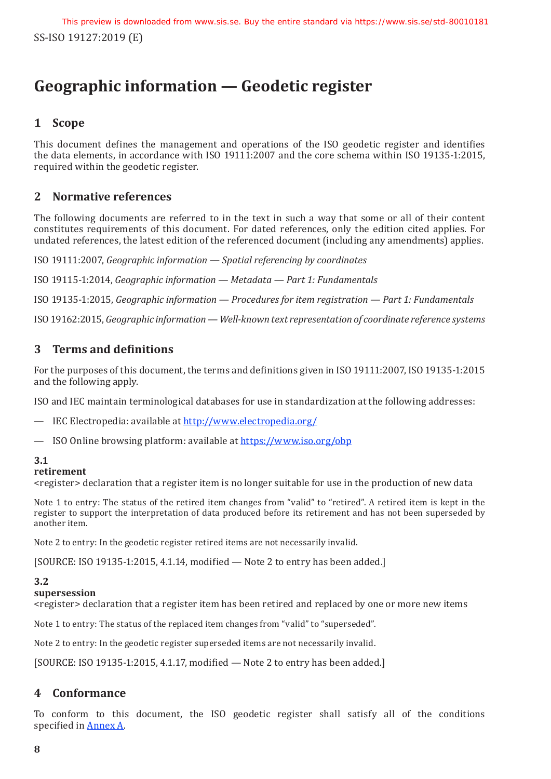## **Geographic information — Geodetic register**

## **1 Scope**

This document defines the management and operations of the ISO geodetic register and identifies the data elements, in accordance with ISO 19111:2007 and the core schema within ISO 19135-1:2015, required within the geodetic register.

### **2 Normative references**

The following documents are referred to in the text in such a way that some or all of their content constitutes requirements of this document. For dated references, only the edition cited applies. For undated references, the latest edition of the referenced document (including any amendments) applies.

ISO 19111:2007, *Geographic information — Spatial referencing by coordinates*

ISO 19115-1:2014, *Geographic information — Metadata — Part 1: Fundamentals*

ISO 19135-1:2015, *Geographic information — Procedures for item registration — Part 1: Fundamentals*

ISO19162:2015, *Geographic information— Well-known text representation of coordinate reference systems*

## **3 Terms and definitions**

For the purposes of this document, the terms and definitions given in ISO 19111:2007, ISO 19135-1:2015 and the following apply.

ISO and IEC maintain terminological databases for use in standardization at the following addresses:

IEC Electropedia: available at <http://www.electropedia.org/>

ISO Online browsing platform: available at [https://www.iso.org/obp](https://www.iso.org/obp/ui)

### **3.1**

#### **retirement**

<register> declaration that a register item is no longer suitable for use in the production of new data

Note 1 to entry: The status of the retired item changes from "valid" to "retired". A retired item is kept in the register to support the interpretation of data produced before its retirement and has not been superseded by another item.

Note 2 to entry: In the geodetic register retired items are not necessarily invalid.

 $[SOURCE: ISO 19135-1:2015, 4.1.14, modified - Note 2 to entry has been added.]$ 

### **3.2**

#### **supersession**

<register> declaration that a register item has been retired and replaced by one or more new items

Note 1 to entry: The status of the replaced item changes from "valid" to "superseded".

Note 2 to entry: In the geodetic register superseded items are not necessarily invalid.

[SOURCE: ISO 19135-1:2015, 4.1.17, modified — Note 2 to entry has been added.]

### **4 Conformance**

To conform to this document, the ISO geodetic register shall satisfy all of the conditions specified in Annex A.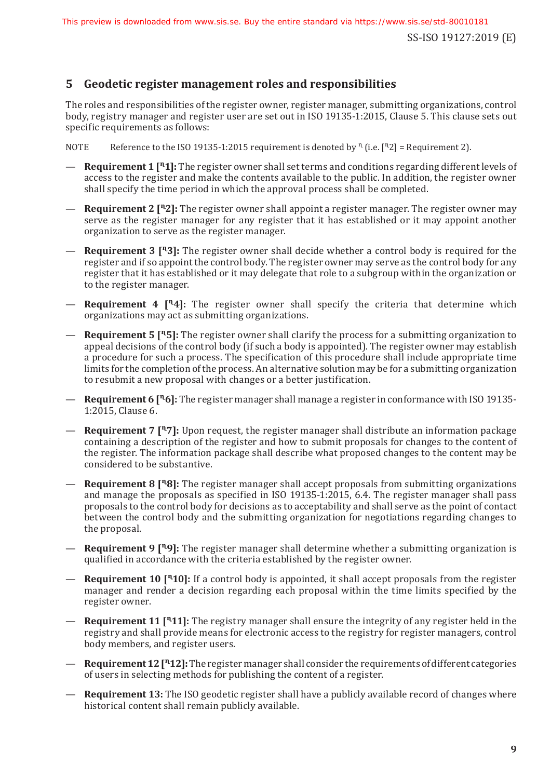### **5 Geodetic register management roles and responsibilities**

The roles and responsibilities of the register owner, register manager, submitting organizations, control body, registry manager and register user are set out in ISO 19135-1:2015, Clause 5. This clause sets out specific requirements as follows:

NOTE Reference to the ISO 19135-1:2015 requirement is denoted by  $n_i$  (i.e.  $\lceil n_2 \rceil$  = Requirement 2).

- **Requirement 1 [ᶯ1]:** The register owner shall set terms and conditions regarding different levels of access to the register and make the contents available to the public. In addition, the register owner shall specify the time period in which the approval process shall be completed.
- **Requirement 2 [ᶯ2]:** The register owner shall appoint a register manager. The register owner may serve as the register manager for any register that it has established or it may appoint another organization to serve as the register manager.
- **Requirement 3 [ᶯ3]:** The register owner shall decide whether a control body is required for the register and if so appoint the control body. The register owner may serve as the control body for any register that it has established or it may delegate that role to a subgroup within the organization or to the register manager.
- **Requirement 4 [ᶯ4]:** The register owner shall specify the criteria that determine which organizations may act as submitting organizations.
- **Requirement 5 [ᶯ5]:** The register owner shall clarify the process for a submitting organization to appeal decisions of the control body (if such a body is appointed). The register owner may establish a procedure for such a process. The specification of this procedure shall include appropriate time limits for the completion of the process. An alternative solution may be for a submitting organization to resubmit a new proposal with changes or a better justification.
- **Requirement 6 [ᶯ6]:** The register manager shall manage a register in conformance with ISO 19135- 1:2015, Clause 6.
- **Requirement 7 [ᶯ7]:** Upon request, the register manager shall distribute an information package containing a description of the register and how to submit proposals for changes to the content of the register. The information package shall describe what proposed changes to the content may be considered to be substantive.
- **Requirement 8 [ᶯ8]:** The register manager shall accept proposals from submitting organizations and manage the proposals as specified in ISO 19135-1:2015, 6.4. The register manager shall pass proposals to the control body for decisions as to acceptability and shall serve as the point of contact between the control body and the submitting organization for negotiations regarding changes to the proposal.
- **Requirement 9 [ᶯ9]:** The register manager shall determine whether a submitting organization is qualified in accordance with the criteria established by the register owner.
- **Requirement 10 [ᶯ10]:** If a control body is appointed, it shall accept proposals from the register manager and render a decision regarding each proposal within the time limits specified by the register owner.
- **Requirement 11 [ᶯ11]:** The registry manager shall ensure the integrity of any register held in the registry and shall provide means for electronic access to the registry for register managers, control body members, and register users.
- **Requirement12[ᶯ12]:**The registermanager shall consider the requirementsofdifferent categories of users in selecting methods for publishing the content of a register.
- **Requirement 13:** The ISO geodetic register shall have a publicly available record of changes where historical content shall remain publicly available.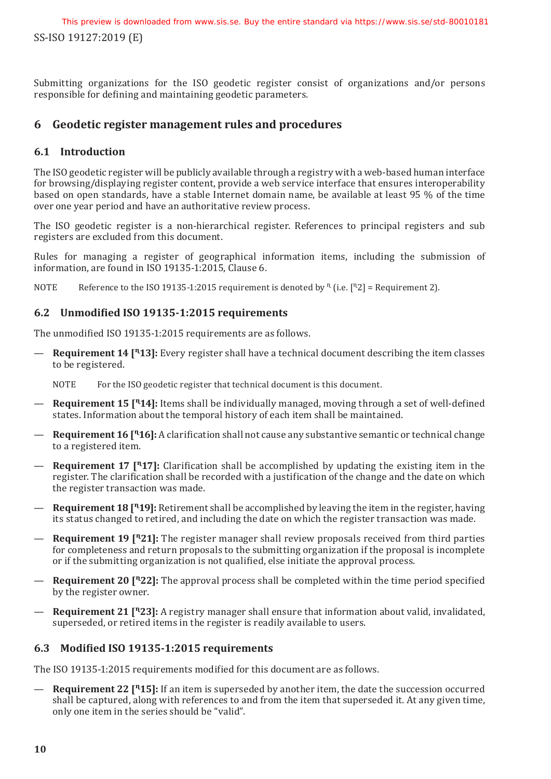SS-ISO 19127:2019 (E) This preview is downloaded from www.sis.se. Buy the entire standard via https://www.sis.se/std-80010181

Submitting organizations for the ISO geodetic register consist of organizations and/or persons responsible for defining and maintaining geodetic parameters.

### **6 Geodetic register management rules and procedures**

### **6.1 Introduction**

The ISO geodetic register will be publicly available through a registry with a web-based human interface for browsing/displaying register content, provide a web service interface that ensures interoperability based on open standards, have a stable Internet domain name, be available at least 95 % of the time over one year period and have an authoritative review process.

The ISO geodetic register is a non-hierarchical register. References to principal registers and sub registers are excluded from this document.

Rules for managing a register of geographical information items, including the submission of information, are found in ISO 19135-1:2015, Clause 6.

NOTE Reference to the ISO 19135-1:2015 requirement is denoted by  $\frac{n}{i}$  (i.e.  $\lfloor \frac{n}{2} \rfloor$  = Requirement 2).

### **6.2 Unmodified ISO 19135-1:2015 requirements**

The unmodified ISO 19135-1:2015 requirements are as follows.

— **Requirement 14 [ᶯ13]:** Every register shall have a technical document describing the item classes to be registered.

NOTE For the ISO geodetic register that technical document is this document.

- **Requirement 15 [ᶯ14]:** Items shall be individually managed, moving through a set of well-defined states. Information about the temporal history of each item shall be maintained.
- **Requirement 16** [ $^{\text{R}}$ 16]: A clarification shall not cause any substantive semantic or technical change to a registered item.
- **Requirement 17** [<sup>n</sup><sub>17</sub>]: Clarification shall be accomplished by updating the existing item in the register. The clarification shall be recorded with a justification of the change and the date on which the register transaction was made.
- **Requirement 18 [ᶯ19]:** Retirement shall be accomplished by leaving the item in the register, having its status changed to retired, and including the date on which the register transaction was made.
- **Requirement 19 [ᶯ21]:** The register manager shall review proposals received from third parties for completeness and return proposals to the submitting organization if the proposal is incomplete or if the submitting organization is not qualified, else initiate the approval process.
- **Requirement 20 [ᶯ22]:** The approval process shall be completed within the time period specified by the register owner.
- **Requirement 21 [ᶯ23]:** A registry manager shall ensure that information about valid, invalidated, superseded, or retired items in the register is readily available to users.

### **6.3 Modified ISO 19135-1:2015 requirements**

The ISO 19135-1:2015 requirements modified for this document are as follows.

— **Requirement 22 [ᶯ15]:** If an item is superseded by another item, the date the succession occurred shall be captured, along with references to and from the item that superseded it. At any given time, only one item in the series should be "valid".